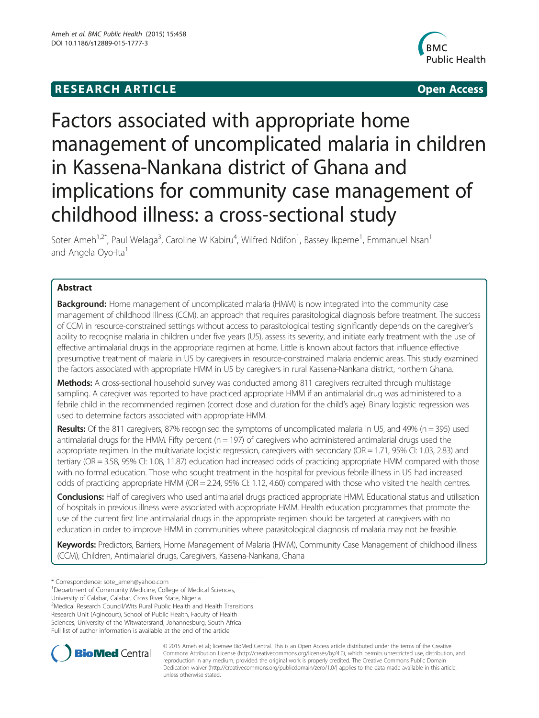# **RESEARCH ARTICLE CONSUMING A RESEARCH ARTICLE**



# Factors associated with appropriate home management of uncomplicated malaria in children in Kassena-Nankana district of Ghana and implications for community case management of childhood illness: a cross-sectional study

Soter Ameh<sup>1,2\*</sup>, Paul Welaga<sup>3</sup>, Caroline W Kabiru<sup>4</sup>, Wilfred Ndifon<sup>1</sup>, Bassey Ikpeme<sup>1</sup>, Emmanuel Nsan<sup>1</sup> and Angela Oyo-Ita<sup>1</sup>

# Abstract

**Background:** Home management of uncomplicated malaria (HMM) is now integrated into the community case management of childhood illness (CCM), an approach that requires parasitological diagnosis before treatment. The success of CCM in resource-constrained settings without access to parasitological testing significantly depends on the caregiver's ability to recognise malaria in children under five years (U5), assess its severity, and initiate early treatment with the use of effective antimalarial drugs in the appropriate regimen at home. Little is known about factors that influence effective presumptive treatment of malaria in U5 by caregivers in resource-constrained malaria endemic areas. This study examined the factors associated with appropriate HMM in U5 by caregivers in rural Kassena-Nankana district, northern Ghana.

Methods: A cross-sectional household survey was conducted among 811 caregivers recruited through multistage sampling. A caregiver was reported to have practiced appropriate HMM if an antimalarial drug was administered to a febrile child in the recommended regimen (correct dose and duration for the child's age). Binary logistic regression was used to determine factors associated with appropriate HMM.

Results: Of the 811 caregivers, 87% recognised the symptoms of uncomplicated malaria in U5, and 49% (n = 395) used antimalarial drugs for the HMM. Fifty percent ( $n = 197$ ) of caregivers who administered antimalarial drugs used the appropriate regimen. In the multivariate logistic regression, caregivers with secondary (OR = 1.71, 95% CI: 1.03, 2.83) and tertiary (OR = 3.58, 95% CI: 1.08, 11.87) education had increased odds of practicing appropriate HMM compared with those with no formal education. Those who sought treatment in the hospital for previous febrile illness in U5 had increased odds of practicing appropriate HMM (OR = 2.24, 95% CI: 1.12, 4.60) compared with those who visited the health centres.

Conclusions: Half of caregivers who used antimalarial drugs practiced appropriate HMM. Educational status and utilisation of hospitals in previous illness were associated with appropriate HMM. Health education programmes that promote the use of the current first line antimalarial drugs in the appropriate regimen should be targeted at caregivers with no education in order to improve HMM in communities where parasitological diagnosis of malaria may not be feasible.

Keywords: Predictors, Barriers, Home Management of Malaria (HMM), Community Case Management of childhood illness (CCM), Children, Antimalarial drugs, Caregivers, Kassena-Nankana, Ghana

\* Correspondence: [sote\\_ameh@yahoo.com](mailto:sote_ameh@yahoo.com) <sup>1</sup>

University of Calabar, Calabar, Cross River State, Nigeria

<sup>2</sup>Medical Research Council/Wits Rural Public Health and Health Transitions Research Unit (Agincourt), School of Public Health, Faculty of Health Sciences, University of the Witwatersrand, Johannesburg, South Africa Full list of author information is available at the end of the article



© 2015 Ameh et al.; licensee BioMed Central. This is an Open Access article distributed under the terms of the Creative Commons Attribution License [\(http://creativecommons.org/licenses/by/4.0\)](http://creativecommons.org/licenses/by/4.0), which permits unrestricted use, distribution, and reproduction in any medium, provided the original work is properly credited. The Creative Commons Public Domain Dedication waiver [\(http://creativecommons.org/publicdomain/zero/1.0/](http://creativecommons.org/publicdomain/zero/1.0/)) applies to the data made available in this article, unless otherwise stated.

<sup>&</sup>lt;sup>1</sup>Department of Community Medicine, College of Medical Sciences,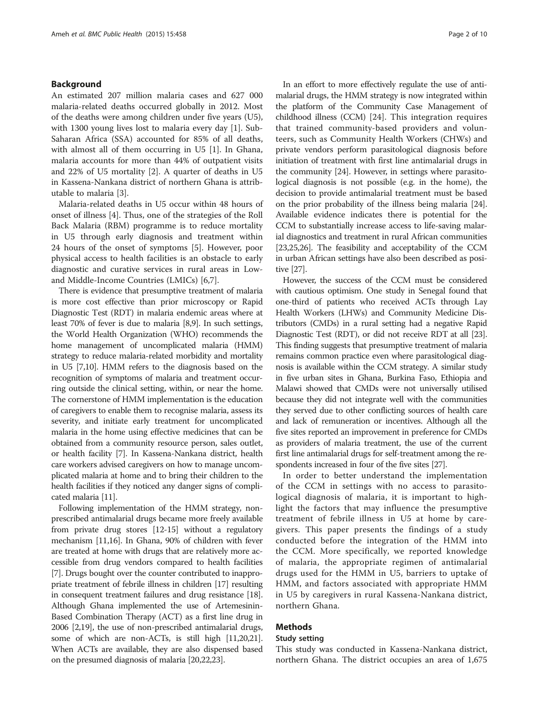#### Background

An estimated 207 million malaria cases and 627 000 malaria-related deaths occurred globally in 2012. Most of the deaths were among children under five years (U5), with 1300 young lives lost to malaria every day [\[1\]](#page-8-0). Sub-Saharan Africa (SSA) accounted for 85% of all deaths, with almost all of them occurring in U5 [[1](#page-8-0)]. In Ghana, malaria accounts for more than 44% of outpatient visits and 22% of U5 mortality [\[2](#page-8-0)]. A quarter of deaths in U5 in Kassena-Nankana district of northern Ghana is attributable to malaria [\[3\]](#page-8-0).

Malaria-related deaths in U5 occur within 48 hours of onset of illness [\[4](#page-8-0)]. Thus, one of the strategies of the Roll Back Malaria (RBM) programme is to reduce mortality in U5 through early diagnosis and treatment within 24 hours of the onset of symptoms [[5\]](#page-8-0). However, poor physical access to health facilities is an obstacle to early diagnostic and curative services in rural areas in Lowand Middle-Income Countries (LMICs) [[6,7\]](#page-8-0).

There is evidence that presumptive treatment of malaria is more cost effective than prior microscopy or Rapid Diagnostic Test (RDT) in malaria endemic areas where at least 70% of fever is due to malaria [\[8,9\]](#page-8-0). In such settings, the World Health Organization (WHO) recommends the home management of uncomplicated malaria (HMM) strategy to reduce malaria-related morbidity and mortality in U5 [\[7,10\]](#page-8-0). HMM refers to the diagnosis based on the recognition of symptoms of malaria and treatment occurring outside the clinical setting, within, or near the home. The cornerstone of HMM implementation is the education of caregivers to enable them to recognise malaria, assess its severity, and initiate early treatment for uncomplicated malaria in the home using effective medicines that can be obtained from a community resource person, sales outlet, or health facility [[7\]](#page-8-0). In Kassena-Nankana district, health care workers advised caregivers on how to manage uncomplicated malaria at home and to bring their children to the health facilities if they noticed any danger signs of complicated malaria [\[11\]](#page-8-0).

Following implementation of the HMM strategy, nonprescribed antimalarial drugs became more freely available from private drug stores [[12](#page-9-0)-[15](#page-9-0)] without a regulatory mechanism [\[11](#page-8-0)[,16](#page-9-0)]. In Ghana, 90% of children with fever are treated at home with drugs that are relatively more accessible from drug vendors compared to health facilities [[7\]](#page-8-0). Drugs bought over the counter contributed to inappropriate treatment of febrile illness in children [\[17\]](#page-9-0) resulting in consequent treatment failures and drug resistance [[18](#page-9-0)]. Although Ghana implemented the use of Artemesinin-Based Combination Therapy (ACT) as a first line drug in 2006 [[2](#page-8-0)[,19\]](#page-9-0), the use of non-prescribed antimalarial drugs, some of which are non-ACTs, is still high [[11](#page-8-0)[,20,21](#page-9-0)]. When ACTs are available, they are also dispensed based on the presumed diagnosis of malaria [[20,22,23\]](#page-9-0).

In an effort to more effectively regulate the use of antimalarial drugs, the HMM strategy is now integrated within the platform of the Community Case Management of childhood illness (CCM) [[24\]](#page-9-0). This integration requires that trained community-based providers and volunteers, such as Community Health Workers (CHWs) and private vendors perform parasitological diagnosis before initiation of treatment with first line antimalarial drugs in the community [[24\]](#page-9-0). However, in settings where parasitological diagnosis is not possible (e.g. in the home), the decision to provide antimalarial treatment must be based on the prior probability of the illness being malaria [[24](#page-9-0)]. Available evidence indicates there is potential for the CCM to substantially increase access to life-saving malarial diagnostics and treatment in rural African communities [[23,25,26\]](#page-9-0). The feasibility and acceptability of the CCM in urban African settings have also been described as positive [[27](#page-9-0)].

However, the success of the CCM must be considered with cautious optimism. One study in Senegal found that one-third of patients who received ACTs through Lay Health Workers (LHWs) and Community Medicine Distributors (CMDs) in a rural setting had a negative Rapid Diagnostic Test (RDT), or did not receive RDT at all [\[23](#page-9-0)]. This finding suggests that presumptive treatment of malaria remains common practice even where parasitological diagnosis is available within the CCM strategy. A similar study in five urban sites in Ghana, Burkina Faso, Ethiopia and Malawi showed that CMDs were not universally utilised because they did not integrate well with the communities they served due to other conflicting sources of health care and lack of remuneration or incentives. Although all the five sites reported an improvement in preference for CMDs as providers of malaria treatment, the use of the current first line antimalarial drugs for self-treatment among the respondents increased in four of the five sites [[27](#page-9-0)].

In order to better understand the implementation of the CCM in settings with no access to parasitological diagnosis of malaria, it is important to highlight the factors that may influence the presumptive treatment of febrile illness in U5 at home by caregivers. This paper presents the findings of a study conducted before the integration of the HMM into the CCM. More specifically, we reported knowledge of malaria, the appropriate regimen of antimalarial drugs used for the HMM in U5, barriers to uptake of HMM, and factors associated with appropriate HMM in U5 by caregivers in rural Kassena-Nankana district, northern Ghana.

# Methods

## Study setting

This study was conducted in Kassena-Nankana district, northern Ghana. The district occupies an area of 1,675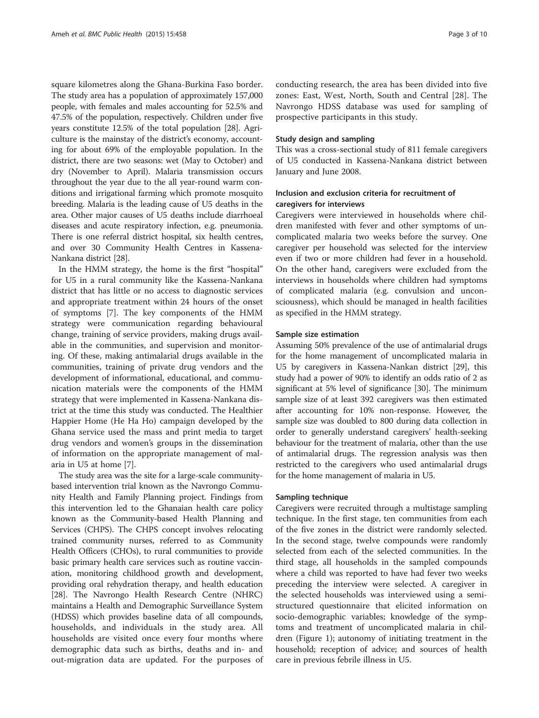square kilometres along the Ghana-Burkina Faso border. The study area has a population of approximately 157,000 people, with females and males accounting for 52.5% and 47.5% of the population, respectively. Children under five years constitute 12.5% of the total population [[28\]](#page-9-0). Agriculture is the mainstay of the district's economy, accounting for about 69% of the employable population. In the district, there are two seasons: wet (May to October) and dry (November to April). Malaria transmission occurs throughout the year due to the all year-round warm conditions and irrigational farming which promote mosquito breeding. Malaria is the leading cause of U5 deaths in the area. Other major causes of U5 deaths include diarrhoeal diseases and acute respiratory infection, e.g. pneumonia. There is one referral district hospital, six health centres, and over 30 Community Health Centres in Kassena-Nankana district [\[28](#page-9-0)].

In the HMM strategy, the home is the first "hospital" for U5 in a rural community like the Kassena-Nankana district that has little or no access to diagnostic services and appropriate treatment within 24 hours of the onset of symptoms [[7\]](#page-8-0). The key components of the HMM strategy were communication regarding behavioural change, training of service providers, making drugs available in the communities, and supervision and monitoring. Of these, making antimalarial drugs available in the communities, training of private drug vendors and the development of informational, educational, and communication materials were the components of the HMM strategy that were implemented in Kassena-Nankana district at the time this study was conducted. The Healthier Happier Home (He Ha Ho) campaign developed by the Ghana service used the mass and print media to target drug vendors and women's groups in the dissemination of information on the appropriate management of malaria in U5 at home [\[7](#page-8-0)].

The study area was the site for a large-scale communitybased intervention trial known as the Navrongo Community Health and Family Planning project. Findings from this intervention led to the Ghanaian health care policy known as the Community-based Health Planning and Services (CHPS). The CHPS concept involves relocating trained community nurses, referred to as Community Health Officers (CHOs), to rural communities to provide basic primary health care services such as routine vaccination, monitoring childhood growth and development, providing oral rehydration therapy, and health education [[28](#page-9-0)]. The Navrongo Health Research Centre (NHRC) maintains a Health and Demographic Surveillance System (HDSS) which provides baseline data of all compounds, households, and individuals in the study area. All households are visited once every four months where demographic data such as births, deaths and in- and out-migration data are updated. For the purposes of

conducting research, the area has been divided into five zones: East, West, North, South and Central [[28\]](#page-9-0). The Navrongo HDSS database was used for sampling of prospective participants in this study.

#### Study design and sampling

This was a cross-sectional study of 811 female caregivers of U5 conducted in Kassena-Nankana district between January and June 2008.

## Inclusion and exclusion criteria for recruitment of caregivers for interviews

Caregivers were interviewed in households where children manifested with fever and other symptoms of uncomplicated malaria two weeks before the survey. One caregiver per household was selected for the interview even if two or more children had fever in a household. On the other hand, caregivers were excluded from the interviews in households where children had symptoms of complicated malaria (e.g. convulsion and unconsciousness), which should be managed in health facilities as specified in the HMM strategy.

#### Sample size estimation

Assuming 50% prevalence of the use of antimalarial drugs for the home management of uncomplicated malaria in U5 by caregivers in Kassena-Nankan district [[29](#page-9-0)], this study had a power of 90% to identify an odds ratio of 2 as significant at 5% level of significance [\[30\]](#page-9-0). The minimum sample size of at least 392 caregivers was then estimated after accounting for 10% non-response. However, the sample size was doubled to 800 during data collection in order to generally understand caregivers' health-seeking behaviour for the treatment of malaria, other than the use of antimalarial drugs. The regression analysis was then restricted to the caregivers who used antimalarial drugs for the home management of malaria in U5.

#### Sampling technique

Caregivers were recruited through a multistage sampling technique. In the first stage, ten communities from each of the five zones in the district were randomly selected. In the second stage, twelve compounds were randomly selected from each of the selected communities. In the third stage, all households in the sampled compounds where a child was reported to have had fever two weeks preceding the interview were selected. A caregiver in the selected households was interviewed using a semistructured questionnaire that elicited information on socio-demographic variables; knowledge of the symptoms and treatment of uncomplicated malaria in children (Figure [1\)](#page-3-0); autonomy of initiating treatment in the household; reception of advice; and sources of health care in previous febrile illness in U5.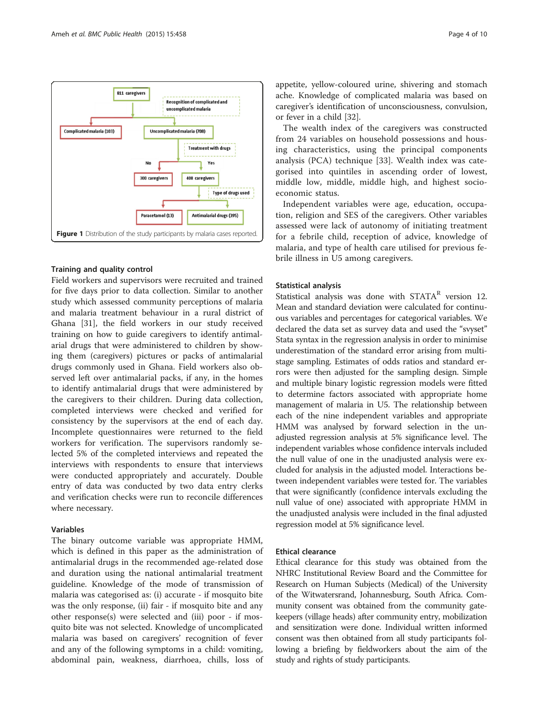

<span id="page-3-0"></span>

## Training and quality control

Field workers and supervisors were recruited and trained for five days prior to data collection. Similar to another study which assessed community perceptions of malaria and malaria treatment behaviour in a rural district of Ghana [[31\]](#page-9-0), the field workers in our study received training on how to guide caregivers to identify antimalarial drugs that were administered to children by showing them (caregivers) pictures or packs of antimalarial drugs commonly used in Ghana. Field workers also observed left over antimalarial packs, if any, in the homes to identify antimalarial drugs that were administered by the caregivers to their children. During data collection, completed interviews were checked and verified for consistency by the supervisors at the end of each day. Incomplete questionnaires were returned to the field workers for verification. The supervisors randomly selected 5% of the completed interviews and repeated the interviews with respondents to ensure that interviews were conducted appropriately and accurately. Double entry of data was conducted by two data entry clerks and verification checks were run to reconcile differences where necessary.

## Variables

The binary outcome variable was appropriate HMM, which is defined in this paper as the administration of antimalarial drugs in the recommended age-related dose and duration using the national antimalarial treatment guideline. Knowledge of the mode of transmission of malaria was categorised as: (i) accurate - if mosquito bite was the only response, (ii) fair - if mosquito bite and any other response(s) were selected and (iii) poor - if mosquito bite was not selected. Knowledge of uncomplicated malaria was based on caregivers' recognition of fever and any of the following symptoms in a child: vomiting, abdominal pain, weakness, diarrhoea, chills, loss of

appetite, yellow-coloured urine, shivering and stomach ache. Knowledge of complicated malaria was based on caregiver's identification of unconsciousness, convulsion, or fever in a child [[32\]](#page-9-0).

The wealth index of the caregivers was constructed from 24 variables on household possessions and housing characteristics, using the principal components analysis (PCA) technique [[33\]](#page-9-0). Wealth index was categorised into quintiles in ascending order of lowest, middle low, middle, middle high, and highest socioeconomic status.

Independent variables were age, education, occupation, religion and SES of the caregivers. Other variables assessed were lack of autonomy of initiating treatment for a febrile child, reception of advice, knowledge of malaria, and type of health care utilised for previous febrile illness in U5 among caregivers.

# Statistical analysis

Statistical analysis was done with STATA<sup>R</sup> version 12. Mean and standard deviation were calculated for continuous variables and percentages for categorical variables. We declared the data set as survey data and used the "svyset" Stata syntax in the regression analysis in order to minimise underestimation of the standard error arising from multistage sampling. Estimates of odds ratios and standard errors were then adjusted for the sampling design. Simple and multiple binary logistic regression models were fitted to determine factors associated with appropriate home management of malaria in U5. The relationship between each of the nine independent variables and appropriate HMM was analysed by forward selection in the unadjusted regression analysis at 5% significance level. The independent variables whose confidence intervals included the null value of one in the unadjusted analysis were excluded for analysis in the adjusted model. Interactions between independent variables were tested for. The variables that were significantly (confidence intervals excluding the null value of one) associated with appropriate HMM in the unadjusted analysis were included in the final adjusted regression model at 5% significance level.

## Ethical clearance

Ethical clearance for this study was obtained from the NHRC Institutional Review Board and the Committee for Research on Human Subjects (Medical) of the University of the Witwatersrand, Johannesburg, South Africa. Community consent was obtained from the community gatekeepers (village heads) after community entry, mobilization and sensitization were done. Individual written informed consent was then obtained from all study participants following a briefing by fieldworkers about the aim of the study and rights of study participants.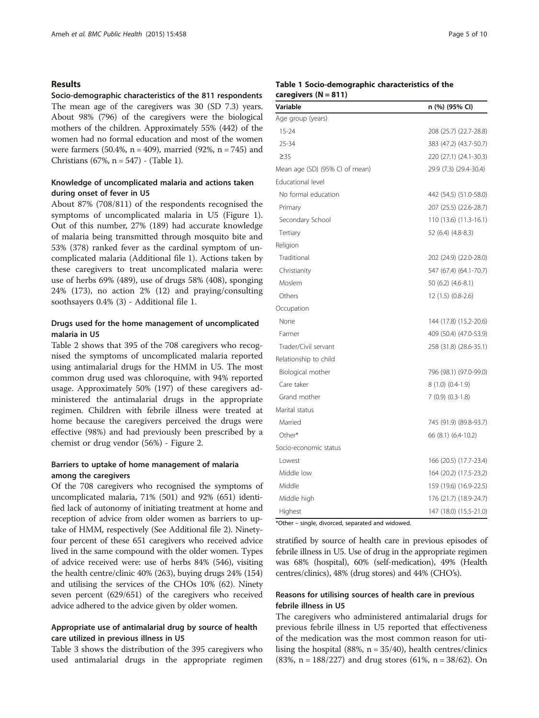#### Results

Socio-demographic characteristics of the 811 respondents The mean age of the caregivers was 30 (SD 7.3) years. About 98% (796) of the caregivers were the biological mothers of the children. Approximately 55% (442) of the women had no formal education and most of the women were farmers  $(50.4\%, n = 409)$ , married  $(92\%, n = 745)$  and Christians (67%, n = 547) - (Table 1).

## Knowledge of uncomplicated malaria and actions taken during onset of fever in U5

About 87% (708/811) of the respondents recognised the symptoms of uncomplicated malaria in U5 (Figure [1](#page-3-0)). Out of this number, 27% (189) had accurate knowledge of malaria being transmitted through mosquito bite and 53% (378) ranked fever as the cardinal symptom of uncomplicated malaria (Additional file [1\)](#page-8-0). Actions taken by these caregivers to treat uncomplicated malaria were: use of herbs 69% (489), use of drugs 58% (408), sponging 24% (173), no action 2% (12) and praying/consulting soothsayers 0.4% (3) - Additional file [1](#page-8-0).

#### Drugs used for the home management of uncomplicated malaria in U5

Table [2](#page-5-0) shows that 395 of the 708 caregivers who recognised the symptoms of uncomplicated malaria reported using antimalarial drugs for the HMM in U5. The most common drug used was chloroquine, with 94% reported usage. Approximately 50% (197) of these caregivers administered the antimalarial drugs in the appropriate regimen. Children with febrile illness were treated at home because the caregivers perceived the drugs were effective (98%) and had previously been prescribed by a chemist or drug vendor (56%) - Figure [2](#page-5-0).

#### Barriers to uptake of home management of malaria among the caregivers

Of the 708 caregivers who recognised the symptoms of uncomplicated malaria, 71% (501) and 92% (651) identified lack of autonomy of initiating treatment at home and reception of advice from older women as barriers to uptake of HMM, respectively (See Additional file [2](#page-8-0)). Ninetyfour percent of these 651 caregivers who received advice lived in the same compound with the older women. Types of advice received were: use of herbs 84% (546), visiting the health centre/clinic 40% (263), buying drugs 24% (154) and utilising the services of the CHOs 10% (62). Ninety seven percent (629/651) of the caregivers who received advice adhered to the advice given by older women.

## Appropriate use of antimalarial drug by source of health care utilized in previous illness in U5

Table [3](#page-6-0) shows the distribution of the 395 caregivers who used antimalarial drugs in the appropriate regimen

#### Table 1 Socio-demographic characteristics of the caregivers  $(N = 811)$

| Variable                       | n (%) (95% CI)         |
|--------------------------------|------------------------|
| Age group (years)              |                        |
| $15 - 24$                      | 208 (25.7) (22.7-28.8) |
| 25-34                          | 383 (47.2) (43.7-50.7) |
| $\geq 35$                      | 220 (27.1) (24.1-30.3) |
| Mean age (SD) (95% CI of mean) | 29.9 (7.3) (29.4-30.4) |
| <b>Educational level</b>       |                        |
| No formal education            | 442 (54.5) (51.0-58.0) |
| Primary                        | 207 (25.5) (22.6-28.7) |
| Secondary School               | 110 (13.6) (11.3-16.1) |
| Tertiary                       | 52 (6.4) (4.8-8.3)     |
| Religion                       |                        |
| Traditional                    | 202 (24.9) (22.0-28.0) |
| Christianity                   | 547 (67.4) (64.1-70.7) |
| Moslem                         | $50(6.2)(4.6-8.1)$     |
| Others                         | 12 (1.5) (0.8-2.6)     |
| Occupation                     |                        |
| None                           | 144 (17.8) (15.2-20.6) |
| Farmer                         | 409 (50.4) (47.0-53.9) |
| Trader/Civil servant           | 258 (31.8) (28.6-35.1) |
| Relationship to child          |                        |
| Biological mother              | 796 (98.1) (97.0-99.0) |
| Care taker                     | $8(1.0)(0.4-1.9)$      |
| Grand mother                   | $7(0.9)(0.3-1.8)$      |
| Marital status                 |                        |
| Married                        | 745 (91.9) (89.8-93.7) |
| Other*                         | 66 (8.1) (6.4-10.2)    |
| Socio-economic status          |                        |
| Lowest                         | 166 (20.5) (17.7-23.4) |
| Middle low                     | 164 (20.2) (17.5-23.2) |
| Middle                         | 159 (19.6) (16.9-22.5) |
| Middle high                    | 176 (21.7) (18.9-24.7) |
| Highest                        | 147 (18.0) (15.5-21.0) |

\*Other – single, divorced, separated and widowed.

stratified by source of health care in previous episodes of febrile illness in U5. Use of drug in the appropriate regimen was 68% (hospital), 60% (self-medication), 49% (Health centres/clinics), 48% (drug stores) and 44% (CHO's).

#### Reasons for utilising sources of health care in previous febrile illness in U5

The caregivers who administered antimalarial drugs for previous febrile illness in U5 reported that effectiveness of the medication was the most common reason for utilising the hospital (88%,  $n = 35/40$ ), health centres/clinics (83%,  $n = 188/227$ ) and drug stores (61%,  $n = 38/62$ ). On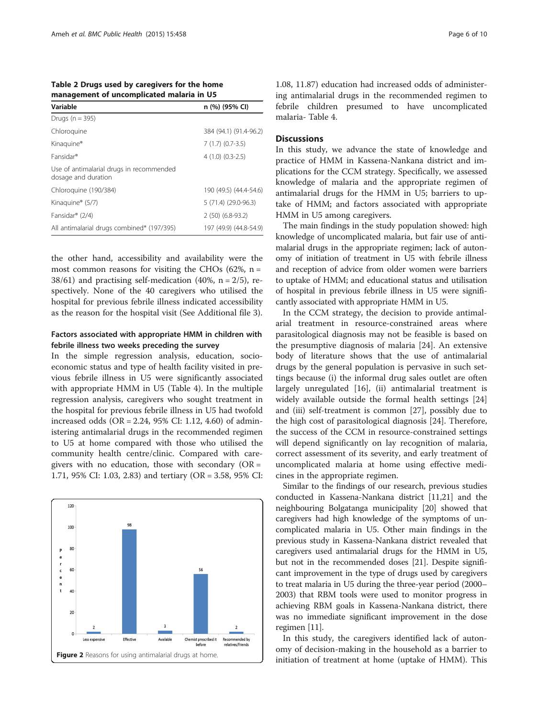<span id="page-5-0"></span>Table 2 Drugs used by caregivers for the home management of uncomplicated malaria in U5

| Variable                                                        | n (%) (95% CI)         |
|-----------------------------------------------------------------|------------------------|
| Drugs ( $n = 395$ )                                             |                        |
| Chloroquine                                                     | 384 (94.1) (91.4-96.2) |
| Kinaguine <sup>®</sup>                                          | $7(1.7)(0.7-3.5)$      |
| Fansidar <sup>®</sup>                                           | $4(1.0)(0.3-2.5)$      |
| Use of antimalarial drugs in recommended<br>dosage and duration |                        |
| Chloroguine (190/384)                                           | 190 (49.5) (44.4-54.6) |
| Kinaquine® (5/7)                                                | $5(71.4)(29.0-96.3)$   |
| Fansidar <sup>®</sup> (2/4)                                     | $2(50)(6.8-93.2)$      |
| All antimalarial drugs combined* (197/395)                      | 197 (49.9) (44.8-54.9) |

the other hand, accessibility and availability were the most common reasons for visiting the CHOs  $(62\% , n =$ 38/61) and practising self-medication (40%,  $n = 2/5$ ), respectively. None of the 40 caregivers who utilised the hospital for previous febrile illness indicated accessibility as the reason for the hospital visit (See Additional file [3\)](#page-8-0).

#### Factors associated with appropriate HMM in children with febrile illness two weeks preceding the survey

In the simple regression analysis, education, socioeconomic status and type of health facility visited in previous febrile illness in U5 were significantly associated with appropriate HMM in U5 (Table [4](#page-7-0)). In the multiple regression analysis, caregivers who sought treatment in the hospital for previous febrile illness in U5 had twofold increased odds (OR = 2.24, 95% CI: 1.12, 4.60) of administering antimalarial drugs in the recommended regimen to U5 at home compared with those who utilised the community health centre/clinic. Compared with caregivers with no education, those with secondary  $(OR =$ 1.71, 95% CI: 1.03, 2.83) and tertiary (OR = 3.58, 95% CI:



1.08, 11.87) education had increased odds of administering antimalarial drugs in the recommended regimen to febrile children presumed to have uncomplicated malaria- Table [4.](#page-7-0)

#### **Discussions**

In this study, we advance the state of knowledge and practice of HMM in Kassena-Nankana district and implications for the CCM strategy. Specifically, we assessed knowledge of malaria and the appropriate regimen of antimalarial drugs for the HMM in U5; barriers to uptake of HMM; and factors associated with appropriate HMM in U5 among caregivers.

The main findings in the study population showed: high knowledge of uncomplicated malaria, but fair use of antimalarial drugs in the appropriate regimen; lack of autonomy of initiation of treatment in U5 with febrile illness and reception of advice from older women were barriers to uptake of HMM; and educational status and utilisation of hospital in previous febrile illness in U5 were significantly associated with appropriate HMM in U5.

In the CCM strategy, the decision to provide antimalarial treatment in resource-constrained areas where parasitological diagnosis may not be feasible is based on the presumptive diagnosis of malaria [[24\]](#page-9-0). An extensive body of literature shows that the use of antimalarial drugs by the general population is pervasive in such settings because (i) the informal drug sales outlet are often largely unregulated [[16](#page-9-0)], (ii) antimalarial treatment is widely available outside the formal health settings [[24](#page-9-0)] and (iii) self-treatment is common [\[27\]](#page-9-0), possibly due to the high cost of parasitological diagnosis [[24\]](#page-9-0). Therefore, the success of the CCM in resource-constrained settings will depend significantly on lay recognition of malaria, correct assessment of its severity, and early treatment of uncomplicated malaria at home using effective medicines in the appropriate regimen.

Similar to the findings of our research, previous studies conducted in Kassena-Nankana district [[11](#page-8-0)[,21\]](#page-9-0) and the neighbouring Bolgatanga municipality [[20](#page-9-0)] showed that caregivers had high knowledge of the symptoms of uncomplicated malaria in U5. Other main findings in the previous study in Kassena-Nankana district revealed that caregivers used antimalarial drugs for the HMM in U5, but not in the recommended doses [\[21](#page-9-0)]. Despite significant improvement in the type of drugs used by caregivers to treat malaria in U5 during the three-year period (2000– 2003) that RBM tools were used to monitor progress in achieving RBM goals in Kassena-Nankana district, there was no immediate significant improvement in the dose regimen [\[11\]](#page-8-0).

In this study, the caregivers identified lack of autonomy of decision-making in the household as a barrier to initiation of treatment at home (uptake of HMM). This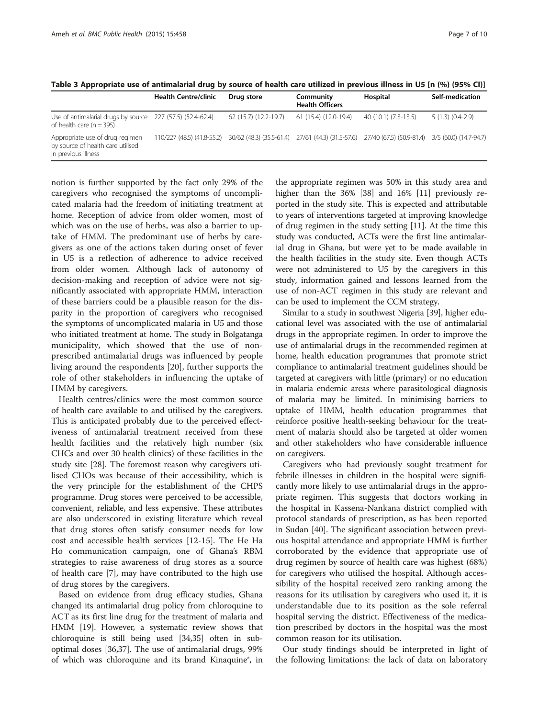<span id="page-6-0"></span>Table 3 Appropriate use of antimalarial drug by source of health care utilized in previous illness in U5 [n (%) (95% CI)]

|                                                                                             | <b>Health Centre/clinic</b>                                                                                                  | Drug store            | Community<br><b>Health Officers</b> | Hospital             | Self-medication   |
|---------------------------------------------------------------------------------------------|------------------------------------------------------------------------------------------------------------------------------|-----------------------|-------------------------------------|----------------------|-------------------|
| Use of antimalarial drugs by source 227 (57.5) (52.4-62.4)<br>of health care ( $n = 395$ )  |                                                                                                                              | 62 (15.7) (12.2-19.7) | 61 (15.4) (12.0-19.4)               | 40 (10.1) (7.3-13.5) | $5(1.3)(0.4-2.9)$ |
| Appropriate use of drug regimen<br>by source of health care utilised<br>in previous illness | 110/227 (48.5) (41.8-55.2) 30/62 (48.3) (35.5-61.4) 27/61 (44.3) (31.5-57.6) 27/40 (67.5) (50.9-81.4) 3/5 (60.0) (14.7-94.7) |                       |                                     |                      |                   |

notion is further supported by the fact only 29% of the caregivers who recognised the symptoms of uncomplicated malaria had the freedom of initiating treatment at home. Reception of advice from older women, most of which was on the use of herbs, was also a barrier to uptake of HMM. The predominant use of herbs by caregivers as one of the actions taken during onset of fever in U5 is a reflection of adherence to advice received from older women. Although lack of autonomy of decision-making and reception of advice were not significantly associated with appropriate HMM, interaction of these barriers could be a plausible reason for the disparity in the proportion of caregivers who recognised the symptoms of uncomplicated malaria in U5 and those who initiated treatment at home. The study in Bolgatanga municipality, which showed that the use of nonprescribed antimalarial drugs was influenced by people living around the respondents [[20](#page-9-0)], further supports the role of other stakeholders in influencing the uptake of HMM by caregivers.

Health centres/clinics were the most common source of health care available to and utilised by the caregivers. This is anticipated probably due to the perceived effectiveness of antimalarial treatment received from these health facilities and the relatively high number (six CHCs and over 30 health clinics) of these facilities in the study site [[28\]](#page-9-0). The foremost reason why caregivers utilised CHOs was because of their accessibility, which is the very principle for the establishment of the CHPS programme. Drug stores were perceived to be accessible, convenient, reliable, and less expensive. These attributes are also underscored in existing literature which reveal that drug stores often satisfy consumer needs for low cost and accessible health services [\[12](#page-9-0)-[15](#page-9-0)]. The He Ha Ho communication campaign, one of Ghana's RBM strategies to raise awareness of drug stores as a source of health care [\[7](#page-8-0)], may have contributed to the high use of drug stores by the caregivers.

Based on evidence from drug efficacy studies, Ghana changed its antimalarial drug policy from chloroquine to ACT as its first line drug for the treatment of malaria and HMM [\[19\]](#page-9-0). However, a systematic review shows that chloroquine is still being used [[34,35](#page-9-0)] often in suboptimal doses [[36](#page-9-0),[37](#page-9-0)]. The use of antimalarial drugs, 99% of which was chloroquine and its brand Kinaquine®, in

the appropriate regimen was 50% in this study area and higher than the 36% [[38\]](#page-9-0) and 16% [\[11](#page-8-0)] previously reported in the study site. This is expected and attributable to years of interventions targeted at improving knowledge of drug regimen in the study setting [[11](#page-8-0)]. At the time this study was conducted, ACTs were the first line antimalarial drug in Ghana, but were yet to be made available in the health facilities in the study site. Even though ACTs were not administered to U5 by the caregivers in this study, information gained and lessons learned from the use of non-ACT regimen in this study are relevant and can be used to implement the CCM strategy.

Similar to a study in southwest Nigeria [[39](#page-9-0)], higher educational level was associated with the use of antimalarial drugs in the appropriate regimen. In order to improve the use of antimalarial drugs in the recommended regimen at home, health education programmes that promote strict compliance to antimalarial treatment guidelines should be targeted at caregivers with little (primary) or no education in malaria endemic areas where parasitological diagnosis of malaria may be limited. In minimising barriers to uptake of HMM, health education programmes that reinforce positive health-seeking behaviour for the treatment of malaria should also be targeted at older women and other stakeholders who have considerable influence on caregivers.

Caregivers who had previously sought treatment for febrile illnesses in children in the hospital were significantly more likely to use antimalarial drugs in the appropriate regimen. This suggests that doctors working in the hospital in Kassena-Nankana district complied with protocol standards of prescription, as has been reported in Sudan [\[40](#page-9-0)]. The significant association between previous hospital attendance and appropriate HMM is further corroborated by the evidence that appropriate use of drug regimen by source of health care was highest (68%) for caregivers who utilised the hospital. Although accessibility of the hospital received zero ranking among the reasons for its utilisation by caregivers who used it, it is understandable due to its position as the sole referral hospital serving the district. Effectiveness of the medication prescribed by doctors in the hospital was the most common reason for its utilisation.

Our study findings should be interpreted in light of the following limitations: the lack of data on laboratory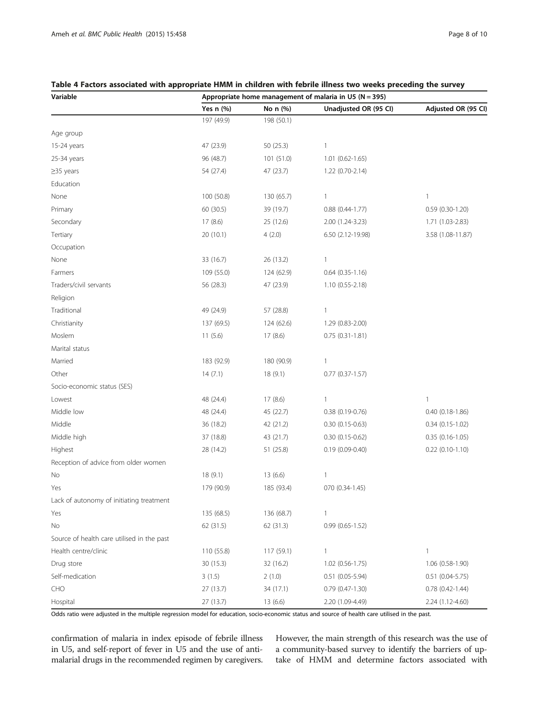# Yes n (%)  $N$ o n (%) Unadjusted OR (95 CI) Adjusted OR (95 CI) 197 (49.9) 198 (50.1) Age group 15-24 years 1992 12:30 12:30 12:30 12:30 12:30 12:30 12:30 12:30 12:30 12:30 12:30 12:30 12:30 12:30 12:30 12:30 12:30 12:30 12:30 12:30 12:30 12:30 12:30 12:30 12:30 12:30 12:30 12:30 12:30 12:30 12:30 12:30 12:30 12:30 1 25-34 years 96 (48.7) 101 (51.0) 1.01 (0.62-1.65) ≥35 years 54 (27.4) 47 (23.7) 1.22 (0.70-2.14) Education None 100 (50.8) 130 (65.7) 1 1 Primary 60 (30.5) 39 (19.7) 0.88 (0.44-1.77) 0.59 (0.30-1.20) Secondary 17 (8.6) 25 (12.6) 2.00 (1.24-3.23) 1.71 (1.03-2.83) Tertiary 20 (10.1) 4 (2.0) 6.50 (2.12-19.98) 3.58 (1.08-11.87) Occupation None 26 (13.2) 26 (13.2) 26 (13.2) 26 (13.2) 26 (13.2) 26 (13.2) 26 (13.2) Farmers 109 (55.0) 124 (62.9) 0.64 (0.35-1.16) Traders/civil servants 56 (28.3) 47 (23.9) 1.10 (0.55-2.18) Religion Traditional 49 (24.9) 57 (28.8) 1 Christianity 137 (69.5) 124 (62.6) 1.29 (0.83-2.00) Moslem 11 (5.6) 17 (8.6) 0.75 (0.31-1.81) Marital status Married 183 (92.9) 180 (90.9) 191 180 (90.9) 1 Other 14 (7.1) 18 (9.1) 0.77 (0.37-1.57) Socio-economic status (SES) Lowest 48 (24.4) 17 (8.6) 1 1 Middle low 48 (24.4) 45 (22.7) 0.38 (0.19-0.76) 0.40 (0.18-1.86) Middle 36 (18.2) 42 (21.2) 0.30 (0.15-0.63) 0.34 (0.15-1.02) Middle high 37 (18.8) 43 (21.7) 0.30 (0.15-0.62) 0.35 (0.16-1.05) Highest 28 (14.2) 51 (25.8) 0.19 (0.09-0.40) 0.22 (0.10-1.10) Reception of advice from older women No 18 (9.1) 13 (6.6) 1 Yes 179 (90.9) 185 (93.4) 070 (0.34-1.45) Lack of autonomy of initiating treatment Yes 135 (68.5) 136 (68.7) 1 No 62 (31.5) 62 (31.3) 0.99 (0.65-1.52) Source of health care utilised in the past Health centre/clinic 110 (55.8) 117 (59.1) 1 Drug store 30 (15.3) 32 (16.2) 1.02 (0.56-1.75) 1.06 (0.58-1.90) Self-medication 3 (1.5) 2 (1.0) 0.51 (0.05-5.94) 0.51 (0.04-5.75) CHO 27 (13.7) 34 (17.1) 0.79 (0.47-1.30) 0.78 (0.42-1.44)

#### <span id="page-7-0"></span>Table 4 Factors associated with appropriate HMM in children with febrile illness two weeks preceding the survey

Variable **Appropriate home management of malaria in U5 (N** = 395) Variable

Odds ratio were adjusted in the multiple regression model for education, socio-economic status and source of health care utilised in the past.

Hospital 27 (13.7) 13 (6.6) 2.20 (1.09-4.49) 2.24 (1.12-4.60)

confirmation of malaria in index episode of febrile illness in U5, and self-report of fever in U5 and the use of antimalarial drugs in the recommended regimen by caregivers. However, the main strength of this research was the use of a community-based survey to identify the barriers of uptake of HMM and determine factors associated with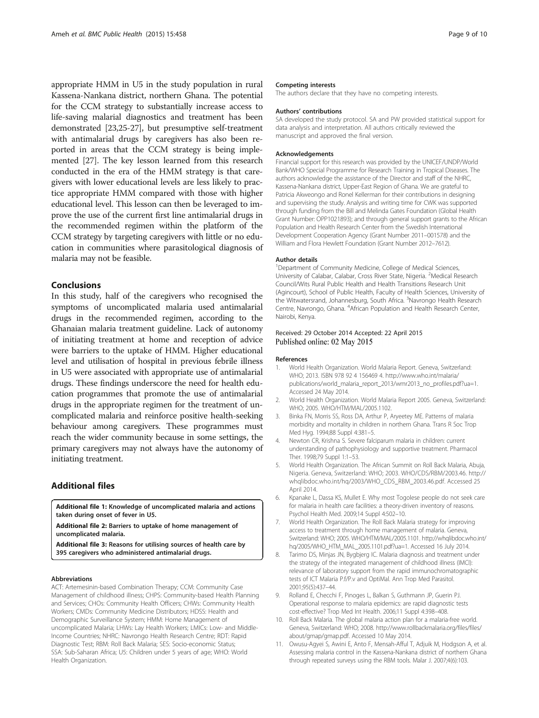<span id="page-8-0"></span>appropriate HMM in U5 in the study population in rural Kassena-Nankana district, northern Ghana. The potential for the CCM strategy to substantially increase access to life-saving malarial diagnostics and treatment has been demonstrated [\[23,25](#page-9-0)-[27\]](#page-9-0), but presumptive self-treatment with antimalarial drugs by caregivers has also been reported in areas that the CCM strategy is being implemented [\[27](#page-9-0)]. The key lesson learned from this research conducted in the era of the HMM strategy is that caregivers with lower educational levels are less likely to practice appropriate HMM compared with those with higher educational level. This lesson can then be leveraged to improve the use of the current first line antimalarial drugs in the recommended regimen within the platform of the CCM strategy by targeting caregivers with little or no education in communities where parasitological diagnosis of malaria may not be feasible.

#### **Conclusions**

In this study, half of the caregivers who recognised the symptoms of uncomplicated malaria used antimalarial drugs in the recommended regimen, according to the Ghanaian malaria treatment guideline. Lack of autonomy of initiating treatment at home and reception of advice were barriers to the uptake of HMM. Higher educational level and utilisation of hospital in previous febrile illness in U5 were associated with appropriate use of antimalarial drugs. These findings underscore the need for health education programmes that promote the use of antimalarial drugs in the appropriate regimen for the treatment of uncomplicated malaria and reinforce positive health-seeking behaviour among caregivers. These programmes must reach the wider community because in some settings, the primary caregivers may not always have the autonomy of initiating treatment.

#### Additional files

[Additional file 1:](http://www.biomedcentral.com/content/supplementary/s12889-015-1777-3-s1.xls) Knowledge of uncomplicated malaria and actions taken during onset of fever in U5.

[Additional file 2:](http://www.biomedcentral.com/content/supplementary/s12889-015-1777-3-s2.xlsx) Barriers to uptake of home management of uncomplicated malaria.

[Additional file 3:](http://www.biomedcentral.com/content/supplementary/s12889-015-1777-3-s3.xlsx) Reasons for utilising sources of health care by 395 caregivers who administered antimalarial drugs.

#### Abbreviations

ACT: Artemesinin-based Combination Therapy; CCM: Community Case Management of childhood illness; CHPS: Community-based Health Planning and Services; CHOs: Community Health Officers; CHWs: Community Health Workers; CMDs: Community Medicine Distributors; HDSS: Health and Demographic Surveillance System; HMM: Home Management of uncomplicated Malaria; LHWs: Lay Health Workers; LMICs: Low- and Middle-Income Countries; NHRC: Navrongo Health Research Centre; RDT: Rapid Diagnostic Test; RBM: Roll Back Malaria; SES: Socio-economic Status; SSA: Sub-Saharan Africa; U5: Children under 5 years of age; WHO: World Health Organization.

#### Competing interests

The authors declare that they have no competing interests.

#### Authors' contributions

SA developed the study protocol. SA and PW provided statistical support for data analysis and interpretation. All authors critically reviewed the manuscript and approved the final version.

#### Acknowledgements

Financial support for this research was provided by the UNICEF/UNDP/World Bank/WHO Special Programme for Research Training in Tropical Diseases. The authors acknowledge the assistance of the Director and staff of the NHRC, Kassena-Nankana district, Upper-East Region of Ghana. We are grateful to Patricia Akweongo and Ronel Kellerman for their contributions in designing and supervising the study. Analysis and writing time for CWK was supported through funding from the Bill and Melinda Gates Foundation (Global Health Grant Number: OPP1021893); and through general support grants to the African Population and Health Research Center from the Swedish International Development Cooperation Agency (Grant Number 2011–001578) and the William and Flora Hewlett Foundation (Grant Number 2012–7612).

#### Author details

<sup>1</sup>Department of Community Medicine, College of Medical Sciences, University of Calabar, Calabar, Cross River State, Nigeria. <sup>2</sup>Medical Research Council/Wits Rural Public Health and Health Transitions Research Unit (Agincourt), School of Public Health, Faculty of Health Sciences, University of the Witwatersrand, Johannesburg, South Africa. <sup>3</sup>Navrongo Health Research Centre, Navrongo, Ghana. <sup>4</sup>African Population and Health Research Center, Nairobi, Kenya.

#### Received: 29 October 2014 Accepted: 22 April 2015 Published online: 02 May 2015

#### References

- 1. World Health Organization. World Malaria Report. Geneva, Switzerland: WHO; 2013. ISBN 978 92 4 156469 4. [http://www.who.int/malaria/](http://www.who.int/malaria/publications/world_malaria_report_2013/wmr2013_no_profiles.pdf?ua=1) [publications/world\\_malaria\\_report\\_2013/wmr2013\\_no\\_profiles.pdf?ua=1](http://www.who.int/malaria/publications/world_malaria_report_2013/wmr2013_no_profiles.pdf?ua=1). Accessed 24 May 2014.
- 2. World Health Organization. World Malaria Report 2005. Geneva, Switzerland: WHO; 2005. WHO/HTM/MAL/2005.1102.
- 3. Binka FN, Morris SS, Ross DA, Arthur P, Aryeetey ME. Patterns of malaria morbidity and mortality in children in northern Ghana. Trans R Soc Trop Med Hyg. 1994;88 Suppl 4:381–5.
- 4. Newton CR, Krishna S. Severe falciparum malaria in children: current understanding of pathophysiology and supportive treatment. Pharmacol Ther. 1998;79 Suppl 1:1–53.
- 5. World Health Organization. The African Summit on Roll Back Malaria, Abuja, Nigeria. Geneva, Switzerland: WHO; 2003. WHO/CDS/RBM/2003.46. [http://](http://whqlibdoc.who.int/hq/2003/WHO_CDS_RBM_2003.46.pdf) [whqlibdoc.who.int/hq/2003/WHO\\_CDS\\_RBM\\_2003.46.pdf](http://whqlibdoc.who.int/hq/2003/WHO_CDS_RBM_2003.46.pdf). Accessed 25 April 2014.
- 6. Kpanake L, Dassa KS, Mullet E. Why most Togolese people do not seek care for malaria in health care facilities: a theory-driven inventory of reasons. Psychol Health Med. 2009;14 Suppl 4:502–10.
- 7. World Health Organization. The Roll Back Malaria strategy for improving access to treatment through home management of malaria. [Geneva,](http://whqlibdoc.who.int/hq/2005/WHO_HTM_MAL_2005.1101.pdf?ua=1) [Switzerland: WHO; 2005. WHO/HTM/MAL/2005.1101. http://whqlibdoc.who.int/](http://whqlibdoc.who.int/hq/2005/WHO_HTM_MAL_2005.1101.pdf?ua=1) [hq/2005/WHO\\_HTM\\_MAL\\_2005.1101.pdf?ua=1.](http://whqlibdoc.who.int/hq/2005/WHO_HTM_MAL_2005.1101.pdf?ua=1) Accessed 16 July 2014.
- 8. Tarimo DS, Minjas JN, Bygbjerg IC. Malaria diagnosis and treatment under the strategy of the integrated management of childhood illness (IMCI): relevance of laboratory support from the rapid immunochromatographic tests of ICT Malaria P.f/P.v and OptiMal. Ann Trop Med Parasitol. 2001;95(5):437–44.
- 9. Rolland E, Checchi F, Pinoges L, Balkan S, Guthmann JP, Guerin PJ. Operational response to malaria epidemics: are rapid diagnostic tests cost-effective? Trop Med Int Health. 2006;11 Suppl 4:398–408.
- 10. Roll Back Malaria. The global malaria action plan for a malaria-free world. Geneva, Switzerland: WHO; 2008. [http://www.rollbackmalaria.org/files/files/](http://www.rollbackmalaria.org/files/files/about/gmap/gmap.pdf) [about/gmap/gmap.pdf](http://www.rollbackmalaria.org/files/files/about/gmap/gmap.pdf). Accessed 10 May 2014.
- 11. Owusu-Agyei S, Awini E, Anto F, Mensah-Afful T, Adjuik M, Hodgson A, et al. Assessing malaria control in the Kassena-Nankana district of northern Ghana through repeated surveys using the RBM tools. Malar J. 2007;4(6):103.